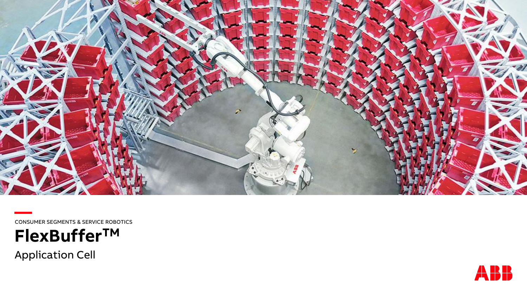

**—**CONSUMER SEGMENTS & SERVICE ROBOTICS



Application Cell

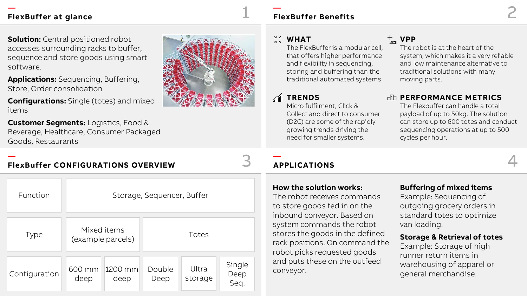**Solution:** Central positioned robot accesses surrounding racks to buffer, sequence and store goods using smart software.

**Applications:** Sequencing, Buffering, Store, Order consolidation

**Configurations:** Single (totes) and mixed items

**Customer Segments:** Logistics, Food & Beverage, Healthcare, Consumer Packaged Goods, Restaurants

#### **— FlexBuffer CONFIGURATIONS OVERVIEW**

| Function      | Storage, Sequencer, Buffer |                                  |                |                  |                        |  |  |
|---------------|----------------------------|----------------------------------|----------------|------------------|------------------------|--|--|
| <b>Type</b>   |                            | Mixed items<br>(example parcels) | Totes          |                  |                        |  |  |
| Configuration | 600 mm<br>deep             | 1200 mm<br>deep                  | Double<br>Deep | Ultra<br>storage | Single<br>Deep<br>Seq. |  |  |

## 1 **FlexBuffer Benefits** 2

#### אל<br>אל **WHAT**

**—**

The FlexBuffer is a modular cell, that offers higher performance and flexibility in sequencing, storing and buffering than the traditional automated systems.

## **TRENDS**

Micro fulfilment, Click & Collect and direct to consumer (D2C) are some of the rapidly growing trends driving the need for smaller systems.

## **VPP**

The robot is at the heart of the system, which makes it a very reliable and low maintenance alternative to traditional solutions with many moving parts.

#### **PERFORMANCE METRICS**

The Flexbuffer can handle a total payload of up to 50kg. The solution can store up to 600 totes and conduct sequencing operations at up to 500 cycles per hour.

#### **—** 3 **APPLICATIONS** 4

#### **How the solution works:**

The robot receives commands to store goods fed in on the inbound conveyor. Based on system commands the robot stores the goods in the defined rack positions. On command the robot picks requested goods and puts these on the outfeed conveyor.

#### **Buffering of mixed items**

Example: Sequencing of outgoing grocery orders in standard totes to optimize van loading.

#### **Storage & Retrieval of totes**

Example: Storage of high runner return items in warehousing of apparel or general merchandise.

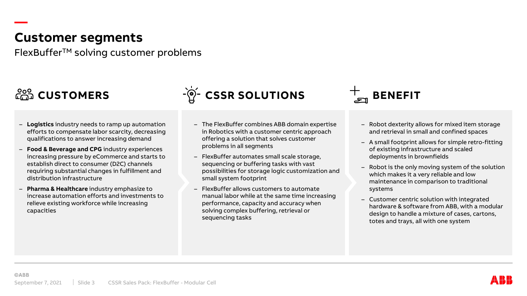## **Customer segments**

FlexBufferTM solving customer problems

**—**

- **Logistics** industry needs to ramp up automation efforts to compensate labor scarcity, decreasing qualifications to answer increasing demand
- **Food & Beverage and CPG** industry experiences increasing pressure by eCommerce and starts to establish direct to consumer (D2C) channels requiring substantial changes in fulfillment and distribution infrastructure
- **Pharma & Healthcare** industry emphasize to increase automation efforts and investments to relieve existing workforce while increasing capacities



- The FlexBuffer combines ABB domain expertise in Robotics with a customer centric approach offering a solution that solves customer problems in all segments
- FlexBuffer automates small scale storage, sequencing or buffering tasks with vast possibilities for storage logic customization and small system footprint
- FlexBuffer allows customers to automate manual labor while at the same time increasing performance, capacity and accuracy when solving complex buffering, retrieval or sequencing tasks



- Robot dexterity allows for mixed item storage and retrieval in small and confined spaces
- A small footprint allows for simple retro-fitting of existing infrastructure and scaled deployments in brownfields
- Robot is the only moving system of the solution which makes it a very reliable and low maintenance in comparison to traditional systems
- Customer centric solution with integrated hardware & software from ABB, with a modular design to handle a mixture of cases, cartons, totes and trays, all with one system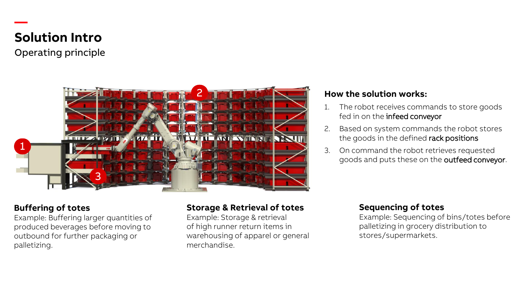# **Solution Intro**

**—**

Operating principle



#### **Buffering of totes**

Example: Buffering larger quantities of produced beverages before moving to outbound for further packaging or palletizing.

## **Storage & Retrieval of totes**

Example: Storage & retrieval of high runner return items in warehousing of apparel or general merchandise.

#### **How the solution works:**

- 1. The robot receives commands to store goods fed in on the infeed conveyor
- 2. Based on system commands the robot stores the goods in the defined rack positions
- 3. On command the robot retrieves requested goods and puts these on the outfeed conveyor.

### **Sequencing of totes**

Example: Sequencing of bins/totes before palletizing in grocery distribution to stores/supermarkets.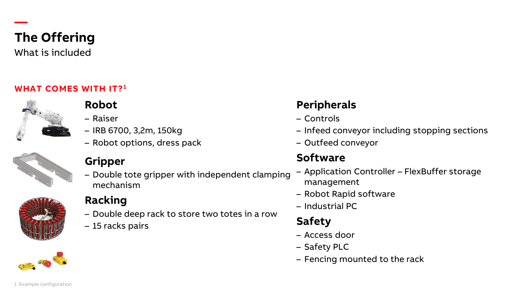

**—**

What is included

### **WHAT COMES WITH IT?<sup>1</sup>**



## **Robot**

- Raiser
- IRB 6700, 3,2m, 150kg
- Robot options, dress pack



## **Gripper**

– Double tote gripper with independent clamping mechanism



## **Racking**

- Double deep rack to store two totes in a row
- 15 racks pairs



- Controls
- Infeed conveyor including stopping sections
- Outfeed conveyor

## **Software**

- Application Controller FlexBuffer storage management
- Robot Rapid software
- Industrial PC

# **Safety**

- Access door
- Safety PLC
- Fencing mounted to the rack

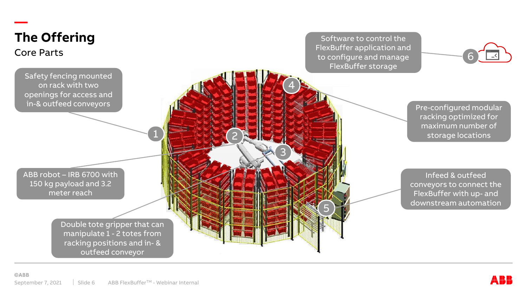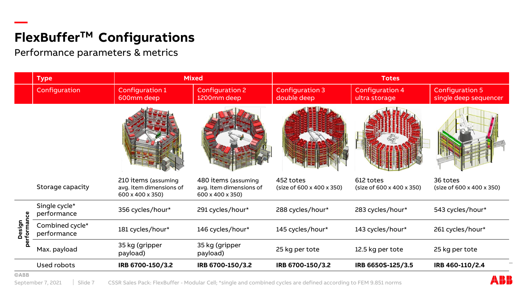# **— FlexBufferTM Configurations**

Performance parameters & metrics

|               | <b>Type</b>                    | <b>Mixed</b>                                                       |                                                                    | <b>Totes</b>                           |                                         |                                                 |  |
|---------------|--------------------------------|--------------------------------------------------------------------|--------------------------------------------------------------------|----------------------------------------|-----------------------------------------|-------------------------------------------------|--|
|               | Configuration                  | Configuration 1<br>600mm deep                                      | <b>Configuration 2</b><br>1200mm deep                              | <b>Configuration 3</b><br>double deep  | <b>Configuration 4</b><br>ultra storage | <b>Configuration 5</b><br>single deep sequencer |  |
|               |                                |                                                                    |                                                                    |                                        |                                         |                                                 |  |
|               | Storage capacity               | 210 items (assuming<br>avg. item dimensions of<br>600 x 400 x 350) | 480 items (assuming<br>avg. item dimensions of<br>600 x 400 x 350) | 452 totes<br>(size of 600 x 400 x 350) | 612 totes<br>(size of 600 x 400 x 350)  | 36 totes<br>(size of 600 x 400 x 350)           |  |
| ပ္ပ<br>Design | Single cycle*<br>performance   | 356 cycles/hour*                                                   | 291 cycles/hour*                                                   | 288 cycles/hour*                       | 283 cycles/hour*                        | 543 cycles/hour*                                |  |
|               | Combined cycle*<br>performance | 181 cycles/hour*                                                   | 146 cycles/hour*                                                   | 145 cycles/hour*                       | 143 cycles/hour*                        | 261 cycles/hour*                                |  |
|               | Max. payload                   | 35 kg (gripper<br>payload)                                         | 35 kg (gripper<br>payload)                                         | 25 kg per tote                         | 12.5 kg per tote                        | 25 kg per tote                                  |  |
|               | Used robots                    | IRB 6700-150/3.2                                                   | IRB 6700-150/3.2                                                   | IRB 6700-150/3.2                       | IRB 6650S-125/3.5                       | IRB 460-110/2.4                                 |  |
| <b>©ABB</b>   |                                |                                                                    |                                                                    |                                        |                                         |                                                 |  |

September 7, 2021 | Slide 7 CSSR Sales Pack: FlexBuffer - Modular Cell; \*single and combined cycles are defined according to FEM 9.851 norms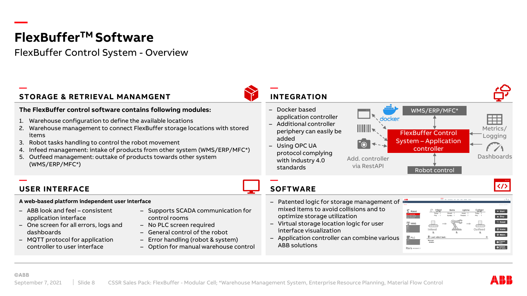# **FlexBufferTM Software**

FlexBuffer Control System - Overview

#### **— STORAGE & RETRIEVAL MANAMGENT**

#### **The FlexBuffer control software contains following modules:**

- 1. Warehouse configuration to define the available locations
- 2. Warehouse management to connect FlexBuffer storage locations with stored items
- 3. Robot tasks handling to control the robot movement
- 4. Infeed management: intake of products from other system (WMS/ERP/MFC\*)
- 5. Outfeed management: outtake of products towards other system (WMS/ERP/MFC\*)

**—**

– Docker based application controller

**INTEGRATION**

- Additional controller periphery can easily be added
- Using OPC UA protocol complying with industry 4.0 standards

#### **— SOFTWARE**

– Patented logic for storage management of mixed items to avoid collisions and to optimize storage utilization

via RestAPI

W

**D** 

docker

- Virtual storage location logic for user interface visualization
- Application controller can combine various ABB solutions



WMS/ERP/MFC\*

Last robot to

Rsrs version

#### **USER INTERFACE**

#### **A web-based platform independent user interface**

- ABB look and feel consistent application interface
- One screen for all errors, logs and dashboards
- MQTT protocol for application controller to user interface
- Supports SCADA communication for control rooms
- No PLC screen required
- General control of the robot
- Error handling (robot & system)
- Option for manual warehouse control

**—**

**—**



 $\bigcirc$  Cancel

 $\rightarrow$  Start  $Stop$ っ<br>Reset  $Q$  Home  $\bullet$  Maint.